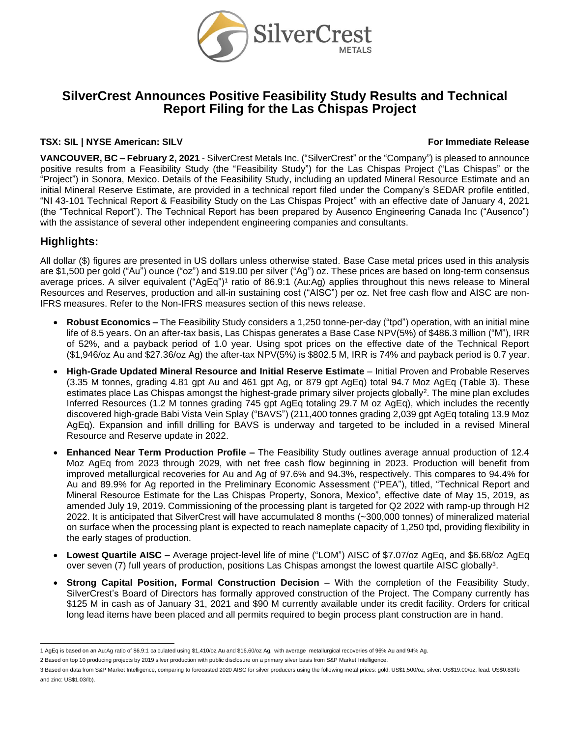

# **SilverCrest Announces Positive Feasibility Study Results and Technical Report Filing for the Las Chispas Project**

#### **TSX: SIL | NYSE American: SILV For Immediate Release**

**VANCOUVER, BC – February 2, 2021** - SilverCrest Metals Inc. ("SilverCrest" or the "Company") is pleased to announce positive results from a Feasibility Study (the "Feasibility Study") for the Las Chispas Project ("Las Chispas" or the "Project") in Sonora, Mexico. Details of the Feasibility Study, including an updated Mineral Resource Estimate and an initial Mineral Reserve Estimate, are provided in a technical report filed under the Company's SEDAR profile entitled, "NI 43-101 Technical Report & Feasibility Study on the Las Chispas Project" with an effective date of January 4, 2021 (the "Technical Report"). The Technical Report has been prepared by Ausenco Engineering Canada Inc ("Ausenco") with the assistance of several other independent engineering companies and consultants.

# **Highlights:**

All dollar (\$) figures are presented in US dollars unless otherwise stated. Base Case metal prices used in this analysis are \$1,500 per gold ("Au") ounce ("oz") and \$19.00 per silver ("Ag") oz. These prices are based on long-term consensus average prices. A silver equivalent ("AgEq")<sup>1</sup> ratio of 86.9:1 (Au:Ag) applies throughout this news release to Mineral Resources and Reserves, production and all-in sustaining cost ("AISC") per oz. Net free cash flow and AISC are non-IFRS measures. Refer to the Non-IFRS measures section of this news release.

- **Robust Economics –** The Feasibility Study considers a 1,250 tonne-per-day ("tpd") operation, with an initial mine life of 8.5 years. On an after-tax basis, Las Chispas generates a Base Case NPV(5%) of \$486.3 million ("M"), IRR of 52%, and a payback period of 1.0 year. Using spot prices on the effective date of the Technical Report (\$1,946/oz Au and \$27.36/oz Ag) the after-tax NPV(5%) is \$802.5 M, IRR is 74% and payback period is 0.7 year.
- **High-Grade Updated Mineral Resource and Initial Reserve Estimate** Initial Proven and Probable Reserves (3.35 M tonnes, grading 4.81 gpt Au and 461 gpt Ag, or 879 gpt AgEq) total 94.7 Moz AgEq (Table 3). These estimates place Las Chispas amongst the highest-grade primary silver projects globally<sup>2</sup>. The mine plan excludes Inferred Resources (1.2 M tonnes grading 745 gpt AgEq totaling 29.7 M oz AgEq), which includes the recently discovered high-grade Babi Vista Vein Splay ("BAVS") (211,400 tonnes grading 2,039 gpt AgEq totaling 13.9 Moz AgEq). Expansion and infill drilling for BAVS is underway and targeted to be included in a revised Mineral Resource and Reserve update in 2022.
- **Enhanced Near Term Production Profile –** The Feasibility Study outlines average annual production of 12.4 Moz AgEq from 2023 through 2029, with net free cash flow beginning in 2023. Production will benefit from improved metallurgical recoveries for Au and Ag of 97.6% and 94.3%, respectively. This compares to 94.4% for Au and 89.9% for Ag reported in the Preliminary Economic Assessment ("PEA"), titled, "Technical Report and Mineral Resource Estimate for the Las Chispas Property, Sonora, Mexico", effective date of May 15, 2019, as amended July 19, 2019. Commissioning of the processing plant is targeted for Q2 2022 with ramp-up through H2 2022. It is anticipated that SilverCrest will have accumulated 8 months (~300,000 tonnes) of mineralized material on surface when the processing plant is expected to reach nameplate capacity of 1,250 tpd, providing flexibility in the early stages of production.
- **Lowest Quartile AISC –** Average project-level life of mine ("LOM") AISC of \$7.07/oz AgEq, and \$6.68/oz AgEq over seven (7) full years of production, positions Las Chispas amongst the lowest quartile AISC globally<sup>3</sup>.
- **Strong Capital Position, Formal Construction Decision** With the completion of the Feasibility Study, SilverCrest's Board of Directors has formally approved construction of the Project. The Company currently has \$125 M in cash as of January 31, 2021 and \$90 M currently available under its credit facility. Orders for critical long lead items have been placed and all permits required to begin process plant construction are in hand.

<sup>1</sup> AgEq is based on an Au:Ag ratio of 86.9:1 calculated using \$1,410/oz Au and \$16.60/oz Ag, with average metallurgical recoveries of 96% Au and 94% Ag.

<sup>2</sup> Based on top 10 producing projects by 2019 silver production with public disclosure on a primary silver basis from S&P Market Intelligence.

<sup>3</sup> Based on data from S&P Market Intelligence, comparing to forecasted 2020 AISC for silver producers using the following metal prices: gold: US\$1,500/oz, silver: US\$19.00/oz, lead: US\$0.83/lb and zinc: US\$1.03/lb).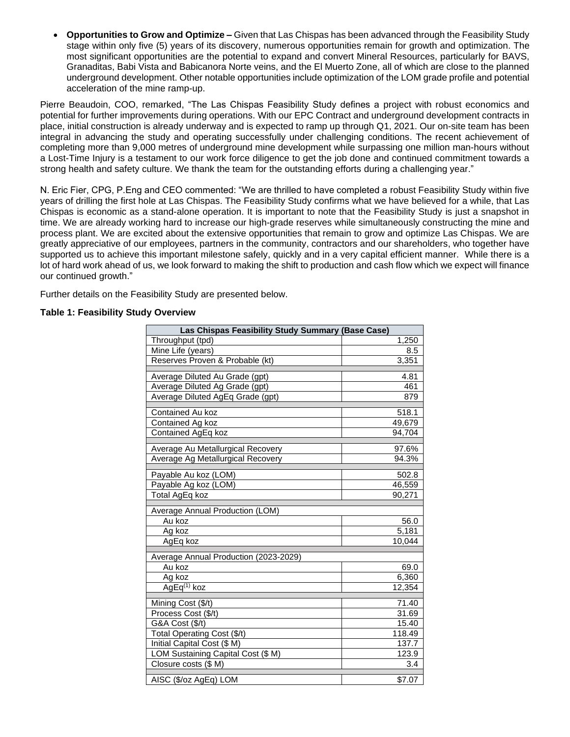• **Opportunities to Grow and Optimize –** Given that Las Chispas has been advanced through the Feasibility Study stage within only five (5) years of its discovery, numerous opportunities remain for growth and optimization. The most significant opportunities are the potential to expand and convert Mineral Resources, particularly for BAVS, Granaditas, Babi Vista and Babicanora Norte veins, and the El Muerto Zone, all of which are close to the planned underground development. Other notable opportunities include optimization of the LOM grade profile and potential acceleration of the mine ramp-up.

Pierre Beaudoin, COO, remarked, "The Las Chispas Feasibility Study defines a project with robust economics and potential for further improvements during operations. With our EPC Contract and underground development contracts in place, initial construction is already underway and is expected to ramp up through Q1, 2021. Our on-site team has been integral in advancing the study and operating successfully under challenging conditions. The recent achievement of completing more than 9,000 metres of underground mine development while surpassing one million man-hours without a Lost-Time Injury is a testament to our work force diligence to get the job done and continued commitment towards a strong health and safety culture. We thank the team for the outstanding efforts during a challenging year."

N. Eric Fier, CPG, P.Eng and CEO commented: "We are thrilled to have completed a robust Feasibility Study within five years of drilling the first hole at Las Chispas. The Feasibility Study confirms what we have believed for a while, that Las Chispas is economic as a stand-alone operation. It is important to note that the Feasibility Study is just a snapshot in time. We are already working hard to increase our high-grade reserves while simultaneously constructing the mine and process plant. We are excited about the extensive opportunities that remain to grow and optimize Las Chispas. We are greatly appreciative of our employees, partners in the community, contractors and our shareholders, who together have supported us to achieve this important milestone safely, quickly and in a very capital efficient manner. While there is a lot of hard work ahead of us, we look forward to making the shift to production and cash flow which we expect will finance our continued growth."

Further details on the Feasibility Study are presented below.

### **Table 1: Feasibility Study Overview**

| Las Chispas Feasibility Study Summary (Base Case) |        |  |  |  |
|---------------------------------------------------|--------|--|--|--|
| Throughput (tpd)                                  | 1,250  |  |  |  |
| Mine Life (years)                                 | 8.5    |  |  |  |
| Reserves Proven & Probable (kt)                   | 3,351  |  |  |  |
| Average Diluted Au Grade (gpt)                    | 4.81   |  |  |  |
| Average Diluted Ag Grade (gpt)                    | 461    |  |  |  |
| Average Diluted AgEq Grade (gpt)                  | 879    |  |  |  |
| Contained Au koz                                  | 518.1  |  |  |  |
| Contained Ag koz                                  | 49,679 |  |  |  |
| Contained AgEq koz                                | 94,704 |  |  |  |
| Average Au Metallurgical Recovery                 | 97.6%  |  |  |  |
| Average Ag Metallurgical Recovery                 | 94.3%  |  |  |  |
| Payable Au koz (LOM)                              | 502.8  |  |  |  |
| Payable Ag koz (LOM)                              | 46,559 |  |  |  |
| Total AgEq koz                                    | 90.271 |  |  |  |
| Average Annual Production (LOM)                   |        |  |  |  |
| Au koz                                            | 56.0   |  |  |  |
| Ag koz                                            | 5,181  |  |  |  |
| AgEq koz                                          | 10,044 |  |  |  |
| Average Annual Production (2023-2029)             |        |  |  |  |
| Au koz                                            | 69.0   |  |  |  |
| Ag koz                                            | 6,360  |  |  |  |
| AgEq <sup>(1)</sup> koz                           | 12,354 |  |  |  |
| Mining Cost (\$/t)                                | 71.40  |  |  |  |
| Process Cost (\$/t)                               | 31.69  |  |  |  |
| G&A Cost (\$/t)                                   | 15.40  |  |  |  |
| Total Operating Cost (\$/t)                       | 118.49 |  |  |  |
| Initial Capital Cost (\$ M)                       | 137.7  |  |  |  |
| LOM Sustaining Capital Cost (\$ M)                | 123.9  |  |  |  |
| Closure costs (\$ M)                              | 3.4    |  |  |  |
| AISC (\$/oz AgEq) LOM                             | \$7.07 |  |  |  |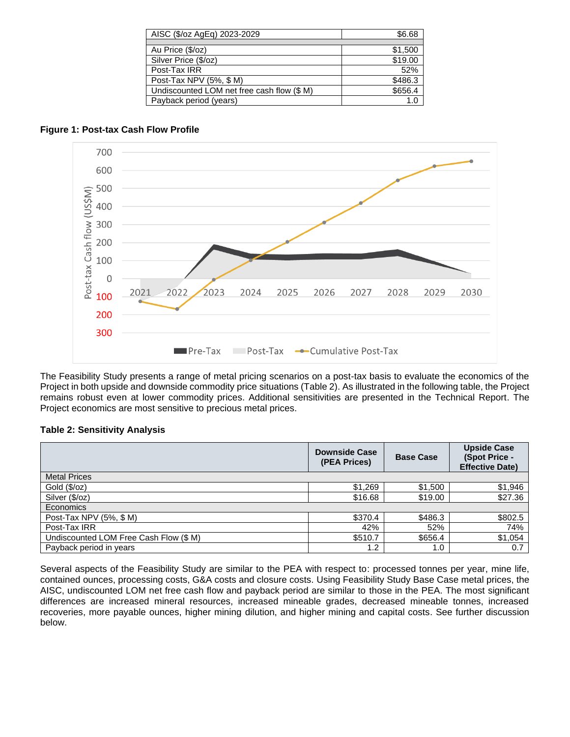| AISC (\$/oz AgEq) 2023-2029                | \$6.68  |
|--------------------------------------------|---------|
|                                            |         |
| Au Price (\$/oz)                           | \$1,500 |
| Silver Price (\$/oz)                       | \$19.00 |
| Post-Tax IRR                               | 52%     |
| Post-Tax NPV (5%, \$ M)                    | \$486.3 |
| Undiscounted LOM net free cash flow (\$ M) | \$656.4 |
| Payback period (years)                     | 1.0     |

# **Figure 1: Post-tax Cash Flow Profile**



The Feasibility Study presents a range of metal pricing scenarios on a post-tax basis to evaluate the economics of the Project in both upside and downside commodity price situations (Table 2). As illustrated in the following table, the Project remains robust even at lower commodity prices. Additional sensitivities are presented in the Technical Report. The Project economics are most sensitive to precious metal prices.

# **Table 2: Sensitivity Analysis**

|                                        | <b>Downside Case</b><br>(PEA Prices) | <b>Base Case</b> | <b>Upside Case</b><br>(Spot Price -<br><b>Effective Date)</b> |
|----------------------------------------|--------------------------------------|------------------|---------------------------------------------------------------|
| <b>Metal Prices</b>                    |                                      |                  |                                                               |
| Gold $(\sqrt[6]{oz})$                  | \$1,269                              | \$1,500          | \$1,946                                                       |
| Silver (\$/oz)                         | \$16.68                              | \$19.00          | \$27.36                                                       |
| Economics                              |                                      |                  |                                                               |
| Post-Tax NPV (5%, \$ M)                | \$370.4                              | \$486.3          | \$802.5                                                       |
| Post-Tax IRR                           | 42%                                  | 52%              | 74%                                                           |
| Undiscounted LOM Free Cash Flow (\$ M) | \$510.7                              | \$656.4          | \$1,054                                                       |
| Payback period in years                | 1.2                                  | 1.0              | 0.7                                                           |

Several aspects of the Feasibility Study are similar to the PEA with respect to: processed tonnes per year, mine life, contained ounces, processing costs, G&A costs and closure costs. Using Feasibility Study Base Case metal prices, the AISC, undiscounted LOM net free cash flow and payback period are similar to those in the PEA. The most significant differences are increased mineral resources, increased mineable grades, decreased mineable tonnes, increased recoveries, more payable ounces, higher mining dilution, and higher mining and capital costs. See further discussion below.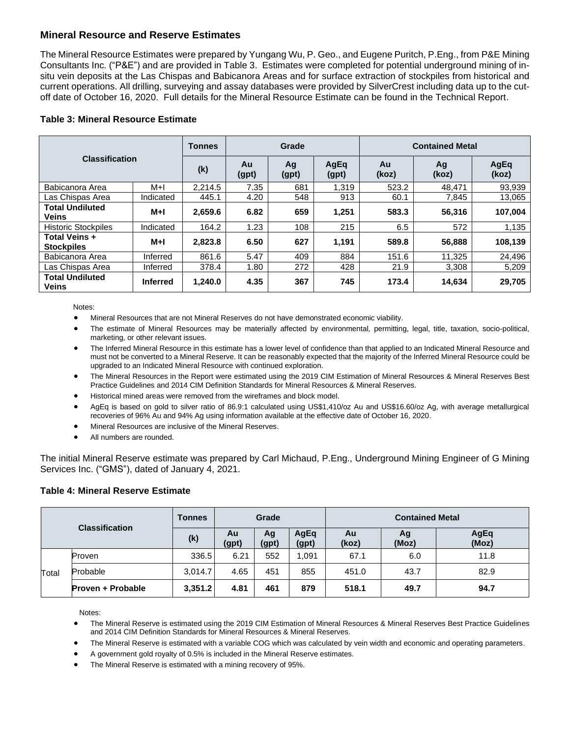# **Mineral Resource and Reserve Estimates**

The Mineral Resource Estimates were prepared by Yungang Wu, P. Geo., and Eugene Puritch, P.Eng., from P&E Mining Consultants Inc. ("P&E") and are provided in Table 3. Estimates were completed for potential underground mining of insitu vein deposits at the Las Chispas and Babicanora Areas and for surface extraction of stockpiles from historical and current operations. All drilling, surveying and assay databases were provided by SilverCrest including data up to the cutoff date of October 16, 2020. Full details for the Mineral Resource Estimate can be found in the Technical Report.

| <b>Classification</b>                  |                 | <b>Tonnes</b> |             | Grade       |               | <b>Contained Metal</b> |             |               |  |
|----------------------------------------|-----------------|---------------|-------------|-------------|---------------|------------------------|-------------|---------------|--|
|                                        |                 | (k)           | Au<br>(gpt) | Ag<br>(gpt) | AgEq<br>(gpt) | Au<br>(koz)            | Ag<br>(koz) | AgEq<br>(koz) |  |
| Babicanora Area                        | M+I             | 2.214.5       | 7.35        | 681         | 1.319         | 523.2                  | 48.471      | 93.939        |  |
| Las Chispas Area                       | Indicated       | 445.1         | 4.20        | 548         | 913           | 60.1                   | 7,845       | 13,065        |  |
| <b>Total Undiluted</b><br><b>Veins</b> | $M+I$           | 2,659.6       | 6.82        | 659         | 1,251         | 583.3                  | 56,316      | 107,004       |  |
| <b>Historic Stockpiles</b>             | Indicated       | 164.2         | 1.23        | 108         | 215           | 6.5                    | 572         | 1,135         |  |
| Total Veins +<br><b>Stockpiles</b>     | $M+1$           | 2.823.8       | 6.50        | 627         | 1,191         | 589.8                  | 56,888      | 108,139       |  |
| Babicanora Area                        | Inferred        | 861.6         | 5.47        | 409         | 884           | 151.6                  | 11.325      | 24.496        |  |
| Las Chispas Area                       | Inferred        | 378.4         | 1.80        | 272         | 428           | 21.9                   | 3,308       | 5,209         |  |
| <b>Total Undiluted</b><br><b>Veins</b> | <b>Inferred</b> | 1,240.0       | 4.35        | 367         | 745           | 173.4                  | 14,634      | 29,705        |  |

## **Table 3: Mineral Resource Estimate**

Notes:

• Mineral Resources that are not Mineral Reserves do not have demonstrated economic viability.

- The estimate of Mineral Resources may be materially affected by environmental, permitting, legal, title, taxation, socio-political, marketing, or other relevant issues.
- The Inferred Mineral Resource in this estimate has a lower level of confidence than that applied to an Indicated Mineral Resource and must not be converted to a Mineral Reserve. It can be reasonably expected that the majority of the Inferred Mineral Resource could be upgraded to an Indicated Mineral Resource with continued exploration.
- The Mineral Resources in the Report were estimated using the 2019 CIM Estimation of Mineral Resources & Mineral Reserves Best Practice Guidelines and 2014 CIM Definition Standards for Mineral Resources & Mineral Reserves.
- Historical mined areas were removed from the wireframes and block model.
- AgEq is based on gold to silver ratio of 86.9:1 calculated using US\$1,410/oz Au and US\$16.60/oz Ag, with average metallurgical recoveries of 96% Au and 94% Ag using information available at the effective date of October 16, 2020.
- Mineral Resources are inclusive of the Mineral Reserves.
- All numbers are rounded.

The initial Mineral Reserve estimate was prepared by Carl Michaud, P.Eng., Underground Mining Engineer of G Mining Services Inc. ("GMS"), dated of January 4, 2021.

#### **Table 4: Mineral Reserve Estimate**

| <b>Classification</b> |                          | <b>Tonnes</b> | Grade       |             |               | <b>Contained Metal</b> |             |               |
|-----------------------|--------------------------|---------------|-------------|-------------|---------------|------------------------|-------------|---------------|
|                       |                          | (k)           | Au<br>(gpt) | Ag<br>(gpt) | AgEq<br>(gpt) | Au<br>(koz)            | Ag<br>(Moz) | AgEq<br>(Moz) |
|                       | Proven                   | 336.5         | 6.21        | 552         | 1,091         | 67.1                   | 6.0         | 11.8          |
| Total                 | Probable                 | 3.014.7       | 4.65        | 451         | 855           | 451.0                  | 43.7        | 82.9          |
|                       | <b>Proven + Probable</b> | 3,351.2       | 4.81        | 461         | 879           | 518.1                  | 49.7        | 94.7          |

Notes:

• The Mineral Reserve is estimated using the 2019 CIM Estimation of Mineral Resources & Mineral Reserves Best Practice Guidelines and 2014 CIM Definition Standards for Mineral Resources & Mineral Reserves.

• The Mineral Reserve is estimated with a variable COG which was calculated by vein width and economic and operating parameters.

- A government gold royalty of 0.5% is included in the Mineral Reserve estimates.
- The Mineral Reserve is estimated with a mining recovery of 95%.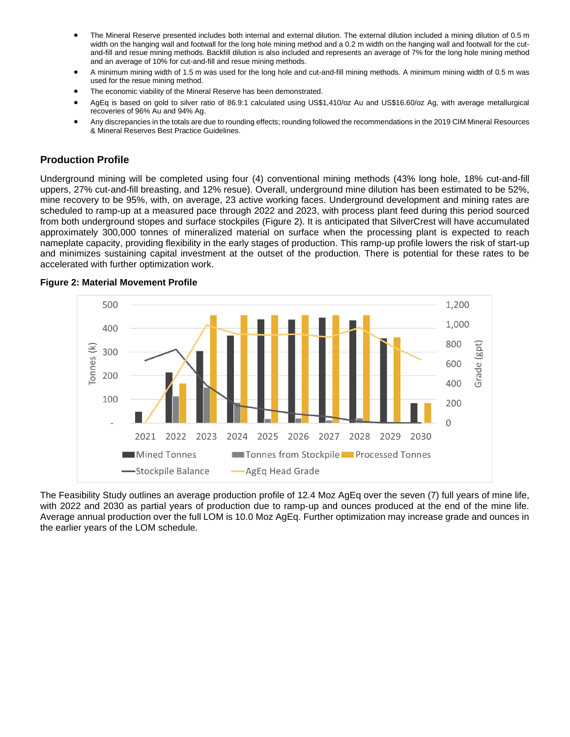- The Mineral Reserve presented includes both internal and external dilution. The external dilution included a mining dilution of 0.5 m width on the hanging wall and footwall for the long hole mining method and a 0.2 m width on the hanging wall and footwall for the cutand-fill and resue mining methods. Backfill dilution is also included and represents an average of 7% for the long hole mining method and an average of 10% for cut-and-fill and resue mining methods.
- A minimum mining width of 1.5 m was used for the long hole and cut-and-fill mining methods. A minimum mining width of 0.5 m was used for the resue mining method.
- The economic viability of the Mineral Reserve has been demonstrated.
- AgEq is based on gold to silver ratio of 86.9:1 calculated using US\$1,410/oz Au and US\$16.60/oz Ag, with average metallurgical recoveries of 96% Au and 94% Ag.
- Any discrepancies in the totals are due to rounding effects; rounding followed the recommendations in the 2019 CIM Mineral Resources & Mineral Reserves Best Practice Guidelines.

# **Production Profile**

Underground mining will be completed using four (4) conventional mining methods (43% long hole, 18% cut-and-fill uppers, 27% cut-and-fill breasting, and 12% resue). Overall, underground mine dilution has been estimated to be 52%, mine recovery to be 95%, with, on average, 23 active working faces. Underground development and mining rates are scheduled to ramp-up at a measured pace through 2022 and 2023, with process plant feed during this period sourced from both underground stopes and surface stockpiles (Figure 2). It is anticipated that SilverCrest will have accumulated approximately 300,000 tonnes of mineralized material on surface when the processing plant is expected to reach nameplate capacity, providing flexibility in the early stages of production. This ramp-up profile lowers the risk of start-up and minimizes sustaining capital investment at the outset of the production. There is potential for these rates to be accelerated with further optimization work.



#### **Figure 2: Material Movement Profile**

The Feasibility Study outlines an average production profile of 12.4 Moz AgEq over the seven (7) full years of mine life, with 2022 and 2030 as partial years of production due to ramp-up and ounces produced at the end of the mine life. Average annual production over the full LOM is 10.0 Moz AgEq. Further optimization may increase grade and ounces in the earlier years of the LOM schedule.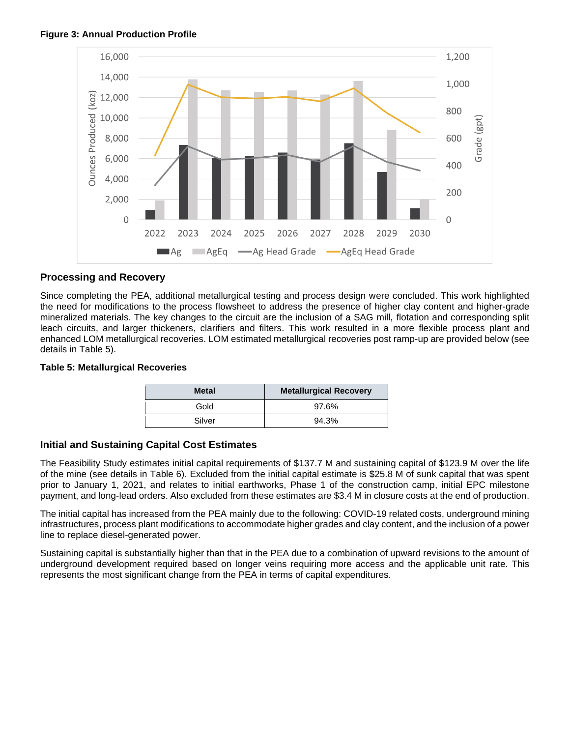



# **Processing and Recovery**

Since completing the PEA, additional metallurgical testing and process design were concluded. This work highlighted the need for modifications to the process flowsheet to address the presence of higher clay content and higher-grade mineralized materials. The key changes to the circuit are the inclusion of a SAG mill, flotation and corresponding split leach circuits, and larger thickeners, clarifiers and filters. This work resulted in a more flexible process plant and enhanced LOM metallurgical recoveries. LOM estimated metallurgical recoveries post ramp-up are provided below (see details in Table 5).

#### **Table 5: Metallurgical Recoveries**

| <b>Metal</b> | <b>Metallurgical Recovery</b> |
|--------------|-------------------------------|
| Gold         | 97.6%                         |
| Silver       | 94.3%                         |

# **Initial and Sustaining Capital Cost Estimates**

The Feasibility Study estimates initial capital requirements of \$137.7 M and sustaining capital of \$123.9 M over the life of the mine (see details in Table 6). Excluded from the initial capital estimate is \$25.8 M of sunk capital that was spent prior to January 1, 2021, and relates to initial earthworks, Phase 1 of the construction camp, initial EPC milestone payment, and long-lead orders. Also excluded from these estimates are \$3.4 M in closure costs at the end of production.

The initial capital has increased from the PEA mainly due to the following: COVID-19 related costs, underground mining infrastructures, process plant modifications to accommodate higher grades and clay content, and the inclusion of a power line to replace diesel-generated power.

Sustaining capital is substantially higher than that in the PEA due to a combination of upward revisions to the amount of underground development required based on longer veins requiring more access and the applicable unit rate. This represents the most significant change from the PEA in terms of capital expenditures.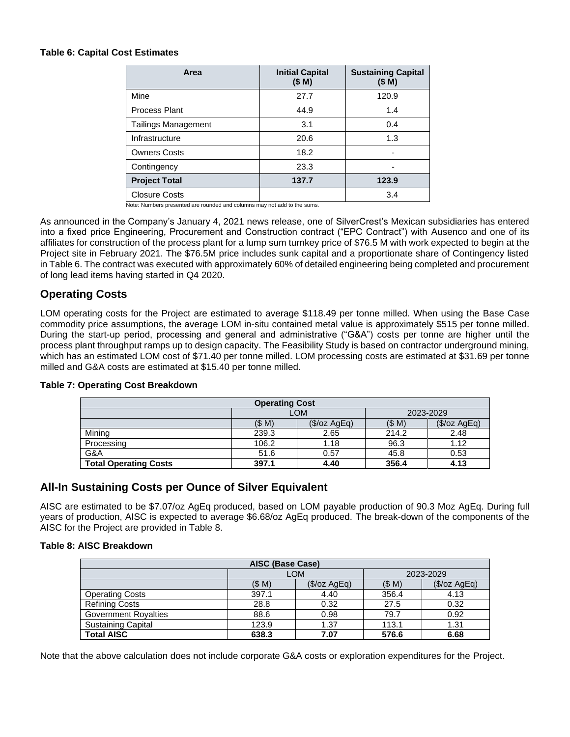#### **Table 6: Capital Cost Estimates**

| Area                       | <b>Initial Capital</b><br>(\$M) | <b>Sustaining Capital</b><br>(\$M) |
|----------------------------|---------------------------------|------------------------------------|
| Mine                       | 27.7                            | 120.9                              |
| Process Plant              | 44.9                            | 1.4                                |
| <b>Tailings Management</b> | 3.1                             | 0.4                                |
| Infrastructure             | 20.6                            | 1.3                                |
| <b>Owners Costs</b>        | 18.2                            | ۰                                  |
| Contingency                | 23.3                            |                                    |
| <b>Project Total</b>       | 137.7                           | 123.9                              |
| <b>Closure Costs</b>       |                                 | 3.4                                |

Note: Numbers presented are rounded and columns may not add to the sums.

As announced in the Company's January 4, 2021 news release, one of SilverCrest's Mexican subsidiaries has entered into a fixed price Engineering, Procurement and Construction contract ("EPC Contract") with Ausenco and one of its affiliates for construction of the process plant for a lump sum turnkey price of \$76.5 M with work expected to begin at the Project site in February 2021. The \$76.5M price includes sunk capital and a proportionate share of Contingency listed in Table 6. The contract was executed with approximately 60% of detailed engineering being completed and procurement of long lead items having started in Q4 2020.

# **Operating Costs**

LOM operating costs for the Project are estimated to average \$118.49 per tonne milled. When using the Base Case commodity price assumptions, the average LOM in-situ contained metal value is approximately \$515 per tonne milled. During the start-up period, processing and general and administrative ("G&A") costs per tonne are higher until the process plant throughput ramps up to design capacity. The Feasibility Study is based on contractor underground mining, which has an estimated LOM cost of \$71.40 per tonne milled. LOM processing costs are estimated at \$31.69 per tonne milled and G&A costs are estimated at \$15.40 per tonne milled.

| <b>Operating Cost</b>        |                                |                |       |              |  |  |  |
|------------------------------|--------------------------------|----------------|-------|--------------|--|--|--|
|                              | LOM<br>2023-2029               |                |       |              |  |  |  |
|                              | (SM)                           | $(\$/oz AgEq)$ | (SM)  | (\$/oz AgEq) |  |  |  |
| Mining                       | 239.3                          | 2.65           | 214.2 | 2.48         |  |  |  |
| Processing                   | 106.2                          | 1.18           | 96.3  | 1.12         |  |  |  |
| G&A                          | 51.6                           | 0.57           | 45.8  | 0.53         |  |  |  |
| <b>Total Operating Costs</b> | 356.4<br>397.1<br>4.40<br>4.13 |                |       |              |  |  |  |

# **Table 7: Operating Cost Breakdown**

# **All-In Sustaining Costs per Ounce of Silver Equivalent**

AISC are estimated to be \$7.07/oz AgEq produced, based on LOM payable production of 90.3 Moz AgEq. During full years of production, AISC is expected to average \$6.68/oz AgEq produced. The break-down of the components of the AISC for the Project are provided in Table 8.

#### **Table 8: AISC Breakdown**

| AISC (Base Case)            |       |               |           |                |  |  |
|-----------------------------|-------|---------------|-----------|----------------|--|--|
|                             |       | <b>LOM</b>    | 2023-2029 |                |  |  |
|                             | (\$M) | $(\$/ozAgEq)$ | (SM)      | $(\$/oz AgEq)$ |  |  |
| <b>Operating Costs</b>      | 397.1 | 4.40          | 356.4     | 4.13           |  |  |
| <b>Refining Costs</b>       | 28.8  | 0.32          | 27.5      | 0.32           |  |  |
| <b>Government Royalties</b> | 88.6  | 0.98          | 79.7      | 0.92           |  |  |
| <b>Sustaining Capital</b>   | 123.9 | 1.37          | 113.1     | 1.31           |  |  |
| <b>Total AISC</b>           | 638.3 | 7.07          | 576.6     | 6.68           |  |  |

Note that the above calculation does not include corporate G&A costs or exploration expenditures for the Project.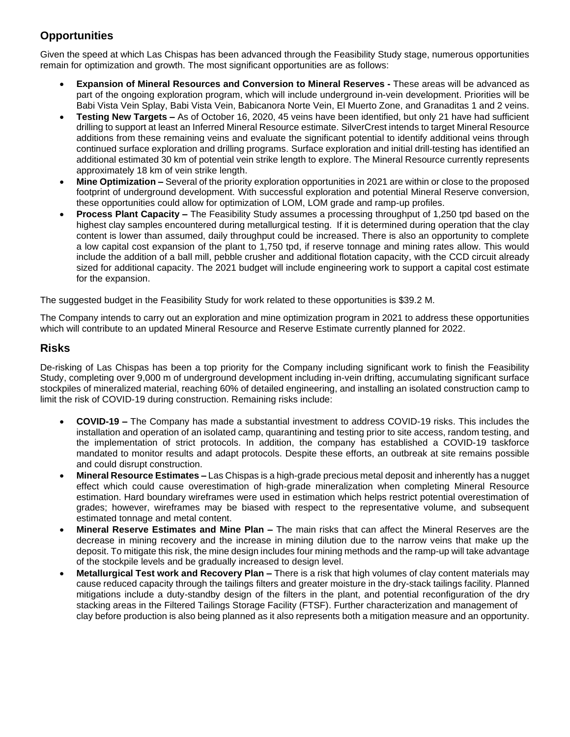# **Opportunities**

Given the speed at which Las Chispas has been advanced through the Feasibility Study stage, numerous opportunities remain for optimization and growth. The most significant opportunities are as follows:

- **Expansion of Mineral Resources and Conversion to Mineral Reserves -** These areas will be advanced as part of the ongoing exploration program, which will include underground in-vein development. Priorities will be Babi Vista Vein Splay, Babi Vista Vein, Babicanora Norte Vein, El Muerto Zone, and Granaditas 1 and 2 veins.
- **Testing New Targets –** As of October 16, 2020, 45 veins have been identified, but only 21 have had sufficient drilling to support at least an Inferred Mineral Resource estimate. SilverCrest intends to target Mineral Resource additions from these remaining veins and evaluate the significant potential to identify additional veins through continued surface exploration and drilling programs. Surface exploration and initial drill-testing has identified an additional estimated 30 km of potential vein strike length to explore. The Mineral Resource currently represents approximately 18 km of vein strike length.
- **Mine Optimization –** Several of the priority exploration opportunities in 2021 are within or close to the proposed footprint of underground development. With successful exploration and potential Mineral Reserve conversion, these opportunities could allow for optimization of LOM, LOM grade and ramp-up profiles.
- **Process Plant Capacity –** The Feasibility Study assumes a processing throughput of 1,250 tpd based on the highest clay samples encountered during metallurgical testing. If it is determined during operation that the clay content is lower than assumed, daily throughput could be increased. There is also an opportunity to complete a low capital cost expansion of the plant to 1,750 tpd, if reserve tonnage and mining rates allow. This would include the addition of a ball mill, pebble crusher and additional flotation capacity, with the CCD circuit already sized for additional capacity. The 2021 budget will include engineering work to support a capital cost estimate for the expansion.

The suggested budget in the Feasibility Study for work related to these opportunities is \$39.2 M.

The Company intends to carry out an exploration and mine optimization program in 2021 to address these opportunities which will contribute to an updated Mineral Resource and Reserve Estimate currently planned for 2022.

# **Risks**

De-risking of Las Chispas has been a top priority for the Company including significant work to finish the Feasibility Study, completing over 9,000 m of underground development including in-vein drifting, accumulating significant surface stockpiles of mineralized material, reaching 60% of detailed engineering, and installing an isolated construction camp to limit the risk of COVID-19 during construction. Remaining risks include:

- **COVID-19 –** The Company has made a substantial investment to address COVID-19 risks. This includes the installation and operation of an isolated camp, quarantining and testing prior to site access, random testing, and the implementation of strict protocols. In addition, the company has established a COVID-19 taskforce mandated to monitor results and adapt protocols. Despite these efforts, an outbreak at site remains possible and could disrupt construction.
- **Mineral Resource Estimates –** Las Chispas is a high-grade precious metal deposit and inherently has a nugget effect which could cause overestimation of high-grade mineralization when completing Mineral Resource estimation. Hard boundary wireframes were used in estimation which helps restrict potential overestimation of grades; however, wireframes may be biased with respect to the representative volume, and subsequent estimated tonnage and metal content.
- **Mineral Reserve Estimates and Mine Plan –** The main risks that can affect the Mineral Reserves are the decrease in mining recovery and the increase in mining dilution due to the narrow veins that make up the deposit. To mitigate this risk, the mine design includes four mining methods and the ramp-up will take advantage of the stockpile levels and be gradually increased to design level.
- **Metallurgical Test work and Recovery Plan –** There is a risk that high volumes of clay content materials may cause reduced capacity through the tailings filters and greater moisture in the dry-stack tailings facility. Planned mitigations include a duty-standby design of the filters in the plant, and potential reconfiguration of the dry stacking areas in the Filtered Tailings Storage Facility (FTSF). Further characterization and management of clay before production is also being planned as it also represents both a mitigation measure and an opportunity.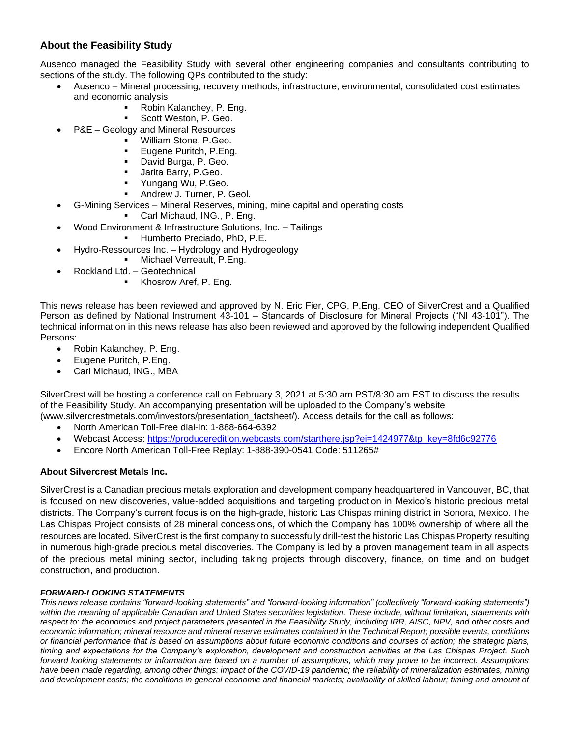# **About the Feasibility Study**

Ausenco managed the Feasibility Study with several other engineering companies and consultants contributing to sections of the study. The following QPs contributed to the study:

- Ausenco Mineral processing, recovery methods, infrastructure, environmental, consolidated cost estimates and economic analysis
	- Robin Kalanchey, P. Eng.
		- Scott Weston, P. Geo.
- P&E Geology and Mineral Resources
	- William Stone, P.Geo.
	- Eugene Puritch, P.Eng.
	- David Burga, P. Geo.
	- Jarita Barry, P.Geo.
	- Yungang Wu, P.Geo.
	- Andrew J. Turner, P. Geol.
- G-Mining Services Mineral Reserves, mining, mine capital and operating costs
	- Carl Michaud, ING., P. Eng.
- Wood Environment & Infrastructure Solutions, Inc. Tailings
	- Humberto Preciado, PhD, P.E.
- Hydro-Ressources Inc. Hydrology and Hydrogeology
	- Michael Verreault, P.Eng.
- Rockland Ltd. Geotechnical
	- Khosrow Aref, P. Eng.

This news release has been reviewed and approved by N. Eric Fier, CPG, P.Eng, CEO of SilverCrest and a Qualified Person as defined by National Instrument 43-101 – Standards of Disclosure for Mineral Projects ("NI 43-101"). The technical information in this news release has also been reviewed and approved by the following independent Qualified Persons:

- Robin Kalanchey, P. Eng.
- Eugene Puritch, P.Eng.
- Carl Michaud, ING., MBA

SilverCrest will be hosting a conference call on February 3, 2021 at 5:30 am PST/8:30 am EST to discuss the results of the Feasibility Study. An accompanying presentation will be uploaded to the Company's website (www.silvercrestmetals.com/investors/presentation\_factsheet/). Access details for the call as follows:

- North American Toll-Free dial-in: 1-888-664-6392
- Webcast Access: [https://produceredition.webcasts.com/starthere.jsp?ei=1424977&tp\\_key=8fd6c92776](https://produceredition.webcasts.com/starthere.jsp?ei=1424977&tp_key=8fd6c92776)
- Encore North American Toll-Free Replay: 1-888-390-0541 Code: 511265#

# **About Silvercrest Metals Inc.**

SilverCrest is a Canadian precious metals exploration and development company headquartered in Vancouver, BC, that is focused on new discoveries, value-added acquisitions and targeting production in Mexico's historic precious metal districts. The Company's current focus is on the high-grade, historic Las Chispas mining district in Sonora, Mexico. The Las Chispas Project consists of 28 mineral concessions, of which the Company has 100% ownership of where all the resources are located. SilverCrest is the first company to successfully drill-test the historic Las Chispas Property resulting in numerous high-grade precious metal discoveries. The Company is led by a proven management team in all aspects of the precious metal mining sector, including taking projects through discovery, finance, on time and on budget construction, and production.

# *FORWARD-LOOKING STATEMENTS*

*This news release contains "forward-looking statements" and "forward-looking information" (collectively "forward-looking statements")*  within the meaning of applicable Canadian and United States securities legislation. These include, without limitation, statements with *respect to: the economics and project parameters presented in the Feasibility Study, including IRR, AISC, NPV, and other costs and economic information; mineral resource and mineral reserve estimates contained in the Technical Report; possible events, conditions or financial performance that is based on assumptions about future economic conditions and courses of action; the strategic plans, timing and expectations for the Company's exploration, development and construction activities at the Las Chispas Project. Such forward looking statements or information are based on a number of assumptions, which may prove to be incorrect. Assumptions have been made regarding, among other things: impact of the COVID-19 pandemic; the reliability of mineralization estimates, mining and development costs; the conditions in general economic and financial markets; availability of skilled labour; timing and amount of*